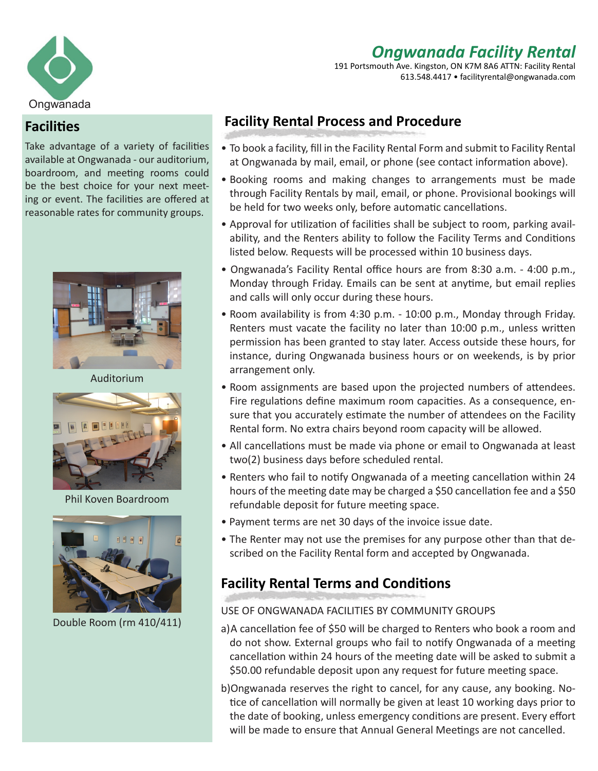

# **Facilities**

Take advantage of a variety of facilities available at Ongwanada - our auditorium, boardroom, and meeting rooms could be the best choice for your next meeting or event. The facilities are offered at reasonable rates for community groups.



Auditorium



Phil Koven Boardroom



Double Room (rm 410/411)

# 613.548.4417 • facilityrental@ongwanada.com

*Ongwanada Facility Rental*

191 Portsmouth Ave. Kingston, ON K7M 8A6 ATTN: Facility Rental

# **Facility Rental Process and Procedure**

- To book a facility, fill in the Facility Rental Form and submit to Facility Rental at Ongwanada by mail, email, or phone (see contact information above).
- Booking rooms and making changes to arrangements must be made through Facility Rentals by mail, email, or phone. Provisional bookings will be held for two weeks only, before automatic cancellations.
- Approval for utilization of facilities shall be subject to room, parking availability, and the Renters ability to follow the Facility Terms and Conditions listed below. Requests will be processed within 10 business days.
- Ongwanada's Facility Rental office hours are from 8:30 a.m. 4:00 p.m., Monday through Friday. Emails can be sent at anytime, but email replies and calls will only occur during these hours.
- Room availability is from 4:30 p.m. 10:00 p.m., Monday through Friday. Renters must vacate the facility no later than 10:00 p.m., unless written permission has been granted to stay later. Access outside these hours, for instance, during Ongwanada business hours or on weekends, is by prior arrangement only.
- Room assignments are based upon the projected numbers of attendees. Fire regulations define maximum room capacities. As a consequence, ensure that you accurately estimate the number of attendees on the Facility Rental form. No extra chairs beyond room capacity will be allowed.
- All cancellations must be made via phone or email to Ongwanada at least two(2) business days before scheduled rental.
- Renters who fail to notify Ongwanada of a meeting cancellation within 24 hours of the meeting date may be charged a \$50 cancellation fee and a \$50 refundable deposit for future meeting space.
- Payment terms are net 30 days of the invoice issue date.
- The Renter may not use the premises for any purpose other than that described on the Facility Rental form and accepted by Ongwanada.

# **Facility Rental Terms and Conditions**

## USE OF ONGWANADA FACILITIES BY COMMUNITY GROUPS

- a)A cancellation fee of \$50 will be charged to Renters who book a room and do not show. External groups who fail to notify Ongwanada of a meeting cancellation within 24 hours of the meeting date will be asked to submit a \$50.00 refundable deposit upon any request for future meeting space.
- b)Ongwanada reserves the right to cancel, for any cause, any booking. Notice of cancellation will normally be given at least 10 working days prior to the date of booking, unless emergency conditions are present. Every effort will be made to ensure that Annual General Meetings are not cancelled.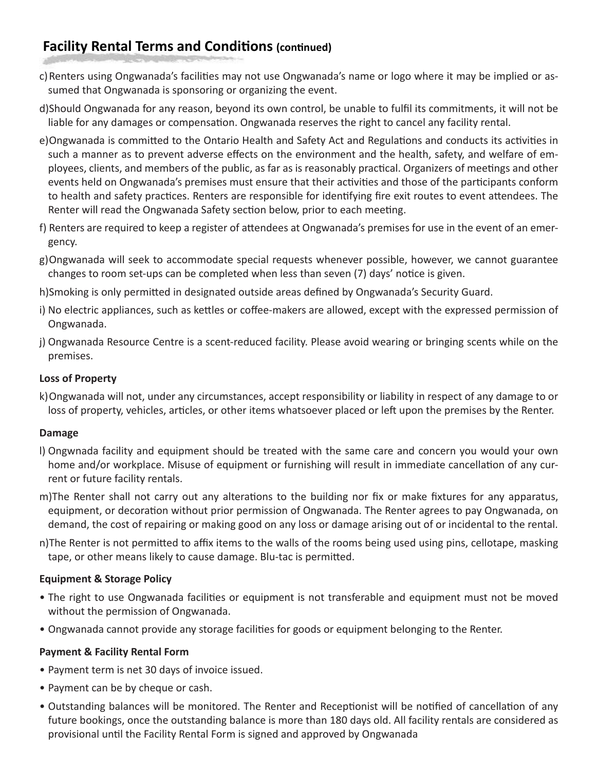# **Facility Rental Terms and Conditions (continued)**

- c) Renters using Ongwanada's facilities may not use Ongwanada's name or logo where it may be implied or assumed that Ongwanada is sponsoring or organizing the event.
- d)Should Ongwanada for any reason, beyond its own control, be unable to fulfil its commitments, it will not be liable for any damages or compensation. Ongwanada reserves the right to cancel any facility rental.
- e)Ongwanada is committed to the Ontario Health and Safety Act and Regulations and conducts its activities in such a manner as to prevent adverse effects on the environment and the health, safety, and welfare of employees, clients, and members of the public, as far as is reasonably practical. Organizers of meetings and other events held on Ongwanada's premises must ensure that their activities and those of the participants conform to health and safety practices. Renters are responsible for identifying fire exit routes to event attendees. The Renter will read the Ongwanada Safety section below, prior to each meeting.
- f) Renters are required to keep a register of attendees at Ongwanada's premises for use in the event of an emergency.
- g)Ongwanada will seek to accommodate special requests whenever possible, however, we cannot guarantee changes to room set-ups can be completed when less than seven (7) days' notice is given.
- h)Smoking is only permitted in designated outside areas defined by Ongwanada's Security Guard.
- i) No electric appliances, such as kettles or coffee-makers are allowed, except with the expressed permission of Ongwanada.
- j) Ongwanada Resource Centre is a scent-reduced facility. Please avoid wearing or bringing scents while on the premises.

# **Loss of Property**

k)Ongwanada will not, under any circumstances, accept responsibility or liability in respect of any damage to or loss of property, vehicles, articles, or other items whatsoever placed or left upon the premises by the Renter.

## **Damage**

- l) Ongwnada facility and equipment should be treated with the same care and concern you would your own home and/or workplace. Misuse of equipment or furnishing will result in immediate cancellation of any current or future facility rentals.
- m)The Renter shall not carry out any alterations to the building nor fix or make fixtures for any apparatus, equipment, or decoration without prior permission of Ongwanada. The Renter agrees to pay Ongwanada, on demand, the cost of repairing or making good on any loss or damage arising out of or incidental to the rental.
- n)The Renter is not permitted to affix items to the walls of the rooms being used using pins, cellotape, masking tape, or other means likely to cause damage. Blu-tac is permitted.

# **Equipment & Storage Policy**

- The right to use Ongwanada facilities or equipment is not transferable and equipment must not be moved without the permission of Ongwanada.
- Ongwanada cannot provide any storage facilities for goods or equipment belonging to the Renter.

## **Payment & Facility Rental Form**

- Payment term is net 30 days of invoice issued.
- Payment can be by cheque or cash.
- Outstanding balances will be monitored. The Renter and Receptionist will be notified of cancellation of any future bookings, once the outstanding balance is more than 180 days old. All facility rentals are considered as provisional until the Facility Rental Form is signed and approved by Ongwanada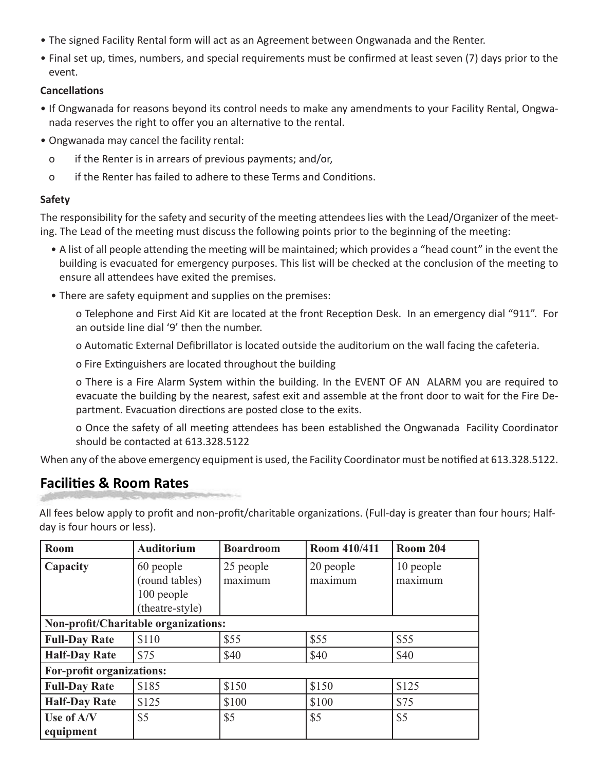- The signed Facility Rental form will act as an Agreement between Ongwanada and the Renter.
- Final set up, times, numbers, and special requirements must be confirmed at least seven (7) days prior to the event.

#### **Cancellations**

- If Ongwanada for reasons beyond its control needs to make any amendments to your Facility Rental, Ongwanada reserves the right to offer you an alternative to the rental.
- Ongwanada may cancel the facility rental:
	- o if the Renter is in arrears of previous payments; and/or,
	- o if the Renter has failed to adhere to these Terms and Conditions.

## **Safety**

The responsibility for the safety and security of the meeting attendees lies with the Lead/Organizer of the meeting. The Lead of the meeting must discuss the following points prior to the beginning of the meeting:

- A list of all people attending the meeting will be maintained; which provides a "head count" in the event the building is evacuated for emergency purposes. This list will be checked at the conclusion of the meeting to ensure all attendees have exited the premises.
- There are safety equipment and supplies on the premises:

o Telephone and First Aid Kit are located at the front Reception Desk. In an emergency dial "911". For an outside line dial '9' then the number.

o Automatic External Defibrillator is located outside the auditorium on the wall facing the cafeteria.

o Fire Extinguishers are located throughout the building

o There is a Fire Alarm System within the building. In the EVENT OF AN ALARM you are required to evacuate the building by the nearest, safest exit and assemble at the front door to wait for the Fire Department. Evacuation directions are posted close to the exits.

o Once the safety of all meeting attendees has been established the Ongwanada Facility Coordinator should be contacted at 613.328.5122

When any of the above emergency equipment is used, the Facility Coordinator must be notified at 613.328.5122.

# **Facilities & Room Rates**

All fees below apply to profit and non-profit/charitable organizations. (Full-day is greater than four hours; Halfday is four hours or less).

| <b>Room</b>                          | <b>Auditorium</b>                                            | <b>Boardroom</b>     | Room 410/411         | <b>Room 204</b>      |
|--------------------------------------|--------------------------------------------------------------|----------------------|----------------------|----------------------|
| Capacity                             | 60 people<br>(round tables)<br>100 people<br>(theatre-style) | 25 people<br>maximum | 20 people<br>maximum | 10 people<br>maximum |
| Non-profit/Charitable organizations: |                                                              |                      |                      |                      |
| <b>Full-Day Rate</b>                 | \$110                                                        | \$55                 | \$55                 | \$55                 |
| <b>Half-Day Rate</b>                 | \$75                                                         | \$40                 | \$40                 | \$40                 |
| For-profit organizations:            |                                                              |                      |                      |                      |
| <b>Full-Day Rate</b>                 | \$185                                                        | \$150                | \$150                | \$125                |
| <b>Half-Day Rate</b>                 | \$125                                                        | \$100                | \$100                | \$75                 |
| Use of A/V<br>equipment              | \$5                                                          | \$5                  | \$5                  | \$5                  |